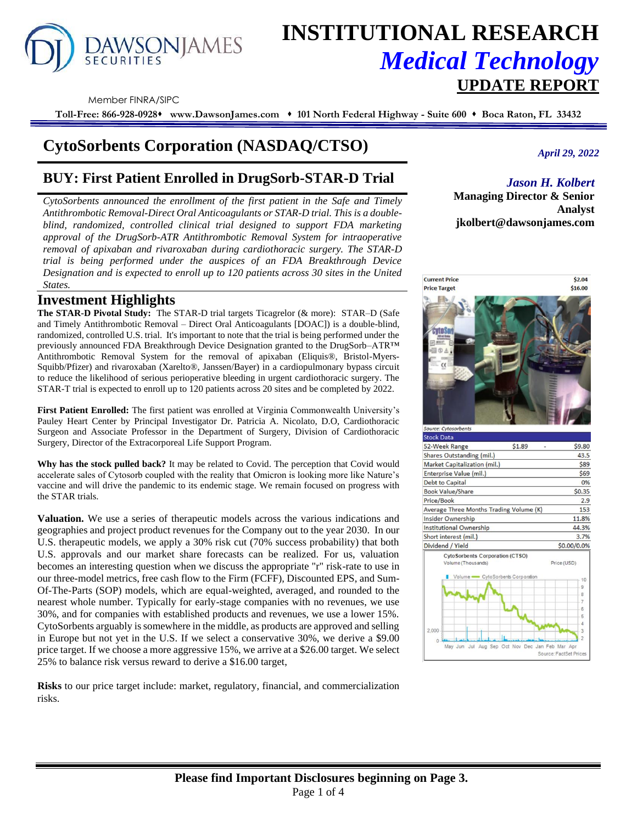# DAWSONJAMES

## **INSTITUTIONAL RESEARCH** *Medical Technology*  **UPDATE REPORT**

Member FINRA/SIPC

**Toll-Free: 866-928-0928**⬧ **www.DawsonJames.com** ⬧ **101 North Federal Highway - Suite 600** ⬧ **Boca Raton, FL 33432**

## **CytoSorbents Corporation (NASDAQ/CTSO)**

### **BUY: First Patient Enrolled in DrugSorb-STAR-D Trial**

*CytoSorbents announced the enrollment of the first patient in the Safe and Timely Antithrombotic Removal-Direct Oral Anticoagulants or STAR-D trial. This is a doubleblind, randomized, controlled clinical trial designed to support FDA marketing approval of the DrugSorb-ATR Antithrombotic Removal System for intraoperative removal of apixaban and rivaroxaban during cardiothoracic surgery. The STAR-D trial is being performed under the auspices of an FDA Breakthrough Device Designation and is expected to enroll up to 120 patients across 30 sites in the United States.* 

#### **Investment Highlights**

**The STAR-D Pivotal Study:** The STAR-D trial targets Ticagrelor (& more): STAR–D (Safe and Timely Antithrombotic Removal – Direct Oral Anticoagulants [DOAC]) is a double-blind, randomized, controlled U.S. trial. It's important to note that the trial is being performed under the previously announced FDA Breakthrough Device Designation granted to the DrugSorb–ATR™ Antithrombotic Removal System for the removal of apixaban (Eliquis®, Bristol-Myers-Squibb/Pfizer) and rivaroxaban (Xarelto®, Janssen/Bayer) in a cardiopulmonary bypass circuit to reduce the likelihood of serious perioperative bleeding in urgent cardiothoracic surgery. The STAR-T trial is expected to enroll up to 120 patients across 20 sites and be completed by 2022.

**First Patient Enrolled:** The first patient was enrolled at Virginia Commonwealth University's Pauley Heart Center by Principal Investigator Dr. Patricia A. Nicolato, D.O, Cardiothoracic Surgeon and Associate Professor in the Department of Surgery, Division of Cardiothoracic Surgery, Director of the Extracorporeal Life Support Program.

**Why has the stock pulled back?** It may be related to Covid. The perception that Covid would accelerate sales of Cytosorb coupled with the reality that Omicron is looking more like Nature's vaccine and will drive the pandemic to its endemic stage. We remain focused on progress with the STAR trials.

**Valuation.** We use a series of therapeutic models across the various indications and geographies and project product revenues for the Company out to the year 2030. In our U.S. therapeutic models, we apply a 30% risk cut (70% success probability) that both U.S. approvals and our market share forecasts can be realized. For us, valuation becomes an interesting question when we discuss the appropriate "r" risk-rate to use in our three-model metrics, free cash flow to the Firm (FCFF), Discounted EPS, and Sum-Of-The-Parts (SOP) models, which are equal-weighted, averaged, and rounded to the nearest whole number. Typically for early-stage companies with no revenues, we use 30%, and for companies with established products and revenues, we use a lower 15%. CytoSorbents arguably is somewhere in the middle, as products are approved and selling in Europe but not yet in the U.S. If we select a conservative 30%, we derive a \$9.00 price target. If we choose a more aggressive 15%, we arrive at a \$26.00 target. We select 25% to balance risk versus reward to derive a \$16.00 target,

**Risks** to our price target include: market, regulatory, financial, and commercialization risks.

*April 29, 2022*

#### *Jason H. Kolbert*

**Managing Director & Senior Analyst jkolbert@dawsonjames.com**

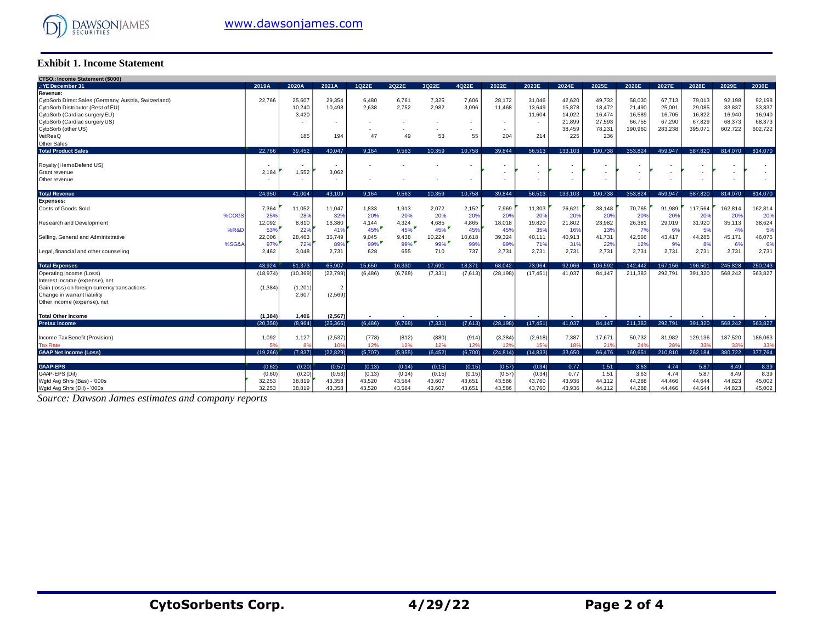

#### **Exhibit 1. Income Statement**

| <b>CTSO.: Income Statement (\$000)</b>                |          |           |            |          |         |                          |         |           |           |         |         |         |         |         |         |         |
|-------------------------------------------------------|----------|-----------|------------|----------|---------|--------------------------|---------|-----------|-----------|---------|---------|---------|---------|---------|---------|---------|
| .: YE December 31                                     | 2019A    | 2020A     | 2021A      | 1022E    | 2022E   | 3022E                    | 4022E   | 2022E     | 2023E     | 2024E   | 2025E   | 2026E   | 2027E   | 2028E   | 2029E   | 2030E   |
| Revenue:                                              |          |           |            |          |         |                          |         |           |           |         |         |         |         |         |         |         |
| CytoSorb Direct Sales (Germany, Austria, Switzerland) | 22,766   | 25,607    | 29,354     | 6,480    | 6,761   | 7,325                    | 7,606   | 28,172    | 31,046    | 42,620  | 49,732  | 58,030  | 67,713  | 79,013  | 92,198  | 92,198  |
| CytoSorb Distributor (Rest of EU)                     |          | 10,240    | 10.498     | 2.638    | 2,752   | 2,982                    | 3,096   | 11.468    | 13.649    | 15,878  | 18,472  | 21,490  | 25,001  | 29.085  | 33,837  | 33,837  |
| CytoSorb (Cardiac surgery EU)                         |          | 3.420     |            |          |         |                          |         |           | 11.604    | 14,022  | 16.474  | 16,589  | 16,705  | 16.822  | 16.940  | 16,940  |
| CytoSorb (Cardiac surgery US)                         |          |           | <b>COL</b> |          |         | $\overline{\phantom{a}}$ | ٠       | $\sim$    |           | 21.899  | 27,593  | 66.755  | 67,290  | 67.829  | 68,373  | 68,373  |
| CytoSorb (other US)                                   |          |           |            | ٠        |         | ٠                        | ٠       |           |           | 38,459  | 78,231  | 190,960 | 283,238 | 395,071 | 602,722 | 602,722 |
| VetResQ                                               |          | 185       | 194        | 47       | 49      | 53                       | 55      | 204       | 214       | 225     | 236     |         |         |         |         |         |
| Other Sales                                           |          |           |            |          |         |                          |         |           |           |         |         |         |         |         |         |         |
| <b>Total Product Sales</b>                            | 22.766   | 39.452    | 40.047     | 9.164    | 9.563   | 10.359                   | 10.758  | 39.844    | 56.513    | 133.103 | 190.738 | 353.824 | 459.947 | 587.820 | 814.070 | 814.070 |
| Royalty (HemoDefend US)                               |          |           | $\sim$     |          |         |                          |         |           |           |         |         |         |         |         |         |         |
| Grant revenue                                         | 2,184    | 1,552     | 3,062      |          |         |                          |         |           |           |         |         |         |         |         |         |         |
| Other revenue                                         | $\sim$   | ۰.        | <b>COL</b> |          |         |                          |         | $\sim$    | ۰.        |         | ۰.      |         |         |         | ٠       |         |
| <b>Total Revenue</b>                                  | 24,950   | 41,004    | 43,109     | 9.164    | 9.563   | 10,359                   | 10,758  | 39,844    | 56,513    | 133,103 | 190,738 | 353,824 | 459,947 | 587,820 | 814,070 | 814,070 |
| <b>Expenses:</b>                                      |          |           |            |          |         |                          |         |           |           |         |         |         |         |         |         |         |
| Costs of Goods Sold                                   | 7,364    | 11,052    | 11,047     | 1,833    | 1.913   | 2,072                    | 2,152   | 7,969     | 11,303    | 26,621  | 38,148  | 70,765  | 91,989  | 117,564 | 162,814 | 162,814 |
| %COGS                                                 | 25%      | 28%       | 32%        | 20%      | 20%     | 20%                      | 20%     | 20%       | 20%       | 20%     | 20%     | 20%     | 20%     | 20%     | 20%     | 20%     |
| Research and Development                              | 12,092   | 8,810     | 16,380     | 4,144    | 4,324   | 4,685                    | 4,865   | 18,018    | 19,820    | 21,802  | 23,982  | 26,381  | 29,019  | 31,920  | 35,113  | 38,624  |
| %R&D                                                  | 53%      | 22%       | 419        | 45%      | $45\%$  | $45\%$                   | 45%     | 45%       | 35%       | 16%     | 13%     | 7%      | 6%      | 5%      | 4%      | 5%      |
| Selling, General and Administrative                   | 22,006   | 28,463    | 35,749     | 9,045    | 9,438   | 10,224                   | 10,618  | 39,324    | 40,111    | 40,913  | 41,731  | 42,566  | 43,417  | 44,285  | 45,171  | 46,075  |
| %SG&A                                                 | 97%      | 72%       | 89%        | $99\%$   | $99\%$  | 99%                      | 99%     | 99%       | 71%       | 31%     | 22%     | 12%     | 9%      | 8%      | 6%      | 6%      |
| Legal, financial and other counseling                 | 2,462    | 3.048     | 2.731      | 628      | 655     | 710                      | 737     | 2.731     | 2.731     | 2.731   | 2,731   | 2.731   | 2.731   | 2.731   | 2,731   | 2,731   |
| <b>Total Expenses</b>                                 | 43.924   | 51,373    | 65,907     | 15.650   | 16.330  | 17.691                   | 18,371  | 68.042    | 73,964    | 92.066  | 106.592 | 142.442 | 167,156 | 196,501 | 245.828 | 250,243 |
| Operating Income (Loss)                               | (18.974  | (10, 369) | (22, 799)  | (6, 486) | (6,768) | (7, 331)                 | (7,613) | (28, 198) | (17, 451) | 41.037  | 84.147  | 211.383 | 292.791 | 391.320 | 568,242 | 563,827 |
| Interest income (expense), net                        |          |           |            |          |         |                          |         |           |           |         |         |         |         |         |         |         |
| Gain (loss) on foreign currency transactions          | (1, 384) | (1,201)   |            |          |         |                          |         |           |           |         |         |         |         |         |         |         |
| Change in warrant liability                           |          | 2.607     | (2, 569)   |          |         |                          |         |           |           |         |         |         |         |         |         |         |
| Other income (expense), net                           |          |           |            |          |         |                          |         |           |           |         |         |         |         |         |         |         |
| Total Other Income                                    | (1, 384) | 1,406     | (2, 567)   |          |         |                          |         |           |           |         |         |         |         |         |         |         |
| <b>Pretax Income</b>                                  | (20.358) | (8.964)   | (25.366)   | (6.486)  | (6.768) | (7.331)                  | (7,613) | (28.198)  | (17.451)  | 41.037  | 84.147  | 211.383 | 292.791 | 391,320 | 568.242 | 563.827 |
| Income Tax Benefit (Provision)                        | 1,092    | 1,127     | (2,537)    | (778)    | (812)   | (880)                    | (914)   | (3, 384)  | (2,618)   | 7,387   | 17,671  | 50,732  | 81,982  | 129,136 | 187,520 | 186,063 |
| <b>Tax Rate</b>                                       | 5%       | <b>89</b> | $10^{9}$   | 12%      | 12%     | 12%                      | 12%     | 12%       | 15%       | 18%     | 21%     | 24%     | 28%     | 33%     | 33%     | 33%     |
| <b>GAAP Net Income (Loss)</b>                         | (19,266) | (7, 837)  | (22.829)   | (5,707)  | (5,955) | (6, 452)                 | (6,700) | (24, 814) | (14.833)  | 33.650  | 66.476  | 160.651 | 210,810 | 262.184 | 380.722 | 377,764 |
| <b>GAAP-EPS</b>                                       | (0.62)   | (0.20)    | (0.57)     | (0.13)   | (0.14)  | (0.15)                   | (0.15)  | (0.57)    | (0.34)    | 0.77    | 1.51    | 3.63    | 4.74    | 5.87    | 8.49    | 8.39    |
| GAAP-EPS (Dil)                                        | (0.60)   | (0.20)    | (0.53)     | (0.13)   | (0.14)  | (0.15)                   | (0.15)  | (0.57)    | (0.34)    | 0.77    | 1.51    | 3.63    | 4.74    | 5.87    | 8.49    | 8.39    |
| Wgtd Avg Shrs (Bas) - '000s                           | 32,253   | 38,819    | 43,358     | 43,520   | 43,564  | 43,607                   | 43,651  | 43,586    | 43,760    | 43,936  | 44,112  | 44,288  | 44,466  | 44,644  | 44,823  | 45,002  |
| Watd Ava Shrs (Dil) - '000s                           | 32.253   | 38.819    | 43.358     | 43.520   | 43.564  | 43.607                   | 43.651  | 43.586    | 43.760    | 43.936  | 44.112  | 44.288  | 44.466  | 44.644  | 44.823  | 45.002  |

*Source: Dawson James estimates and company reports*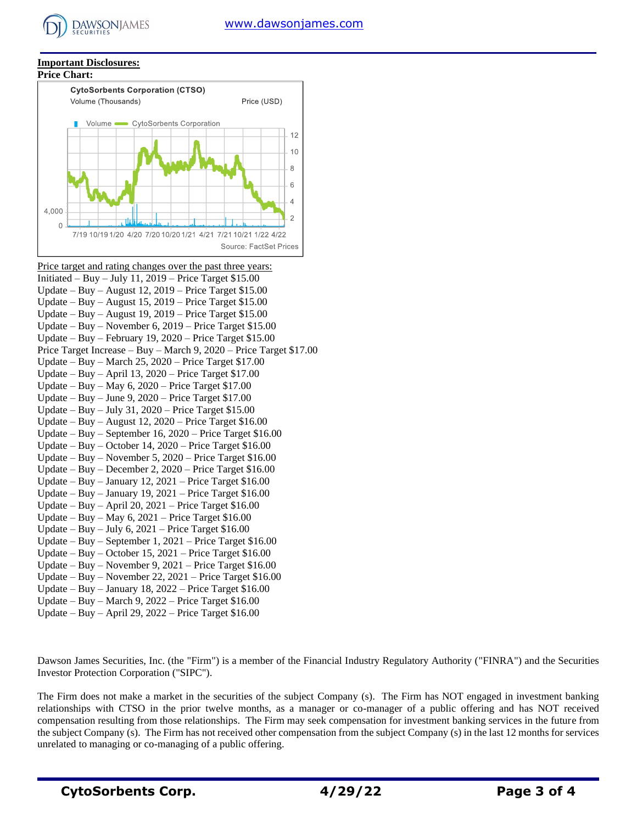#### **Important Disclosures:**

**DAWSONJAMES** 



Price target and rating changes over the past three years: Initiated – Buy – July 11,  $2019$  – Price Target \$15.00 Update – Buy – August 12, 2019 – Price Target \$15.00 Update – Buy – August 15, 2019 – Price Target \$15.00 Update – Buy – August 19, 2019 – Price Target \$15.00 Update – Buy – November 6, 2019 – Price Target \$15.00 Update – Buy – February 19, 2020 – Price Target \$15.00 Price Target Increase – Buy – March 9, 2020 – Price Target \$17.00 Update – Buy – March 25, 2020 – Price Target \$17.00 Update – Buy – April 13, 2020 – Price Target \$17.00 Update – Buy – May 6, 2020 – Price Target \$17.00 Update – Buy – June 9, 2020 – Price Target \$17.00 Update – Buy – July 31, 2020 – Price Target \$15.00 Update – Buy – August 12, 2020 – Price Target \$16.00 Update – Buy – September 16, 2020 – Price Target \$16.00 Update – Buy – October 14, 2020 – Price Target \$16.00 Update – Buy – November 5, 2020 – Price Target \$16.00 Update – Buy – December 2, 2020 – Price Target \$16.00 Update – Buy – January 12,  $2021$  – Price Target \$16.00 Update – Buy – January 19, 2021 – Price Target \$16.00 Update – Buy – April 20, 2021 – Price Target \$16.00 Update – Buy – May 6, 2021 – Price Target \$16.00 Update – Buy – July 6,  $2021$  – Price Target \$16.00 Update – Buy – September 1, 2021 – Price Target \$16.00 Update – Buy – October 15, 2021 – Price Target \$16.00 Update – Buy – November 9, 2021 – Price Target \$16.00 Update – Buy – November 22, 2021 – Price Target \$16.00 Update – Buy – January 18, 2022 – Price Target \$16.00 Update – Buy – March 9,  $2022$  – Price Target \$16.00

Update – Buy – April 29, 2022 – Price Target \$16.00

Dawson James Securities, Inc. (the "Firm") is a member of the Financial Industry Regulatory Authority ("FINRA") and the Securities Investor Protection Corporation ("SIPC").

The Firm does not make a market in the securities of the subject Company (s). The Firm has NOT engaged in investment banking relationships with CTSO in the prior twelve months, as a manager or co-manager of a public offering and has NOT received compensation resulting from those relationships. The Firm may seek compensation for investment banking services in the future from the subject Company (s). The Firm has not received other compensation from the subject Company (s) in the last 12 months for services unrelated to managing or co-managing of a public offering.